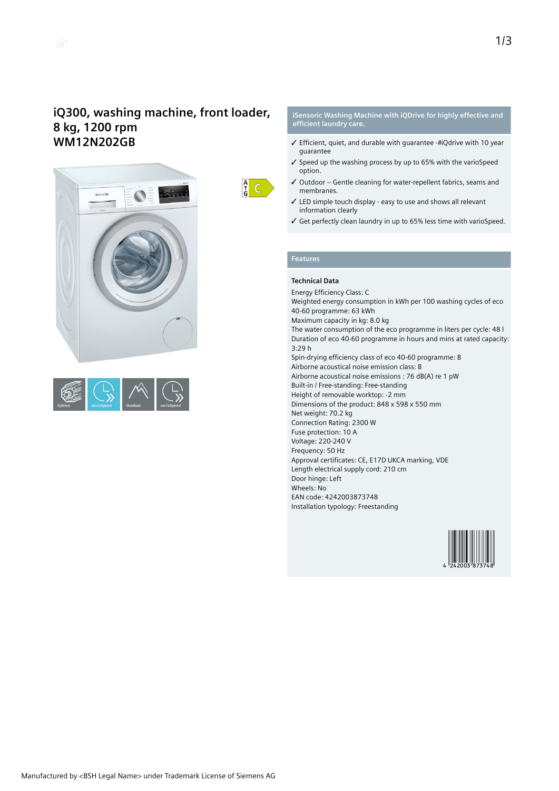



 $\frac{A}{G}$   $C$ 

#### **iSensoric Washing Machine with iQDrive for highly effective and efficient laundry care.**

- $\checkmark$  Efficient, quiet, and durable with quarantee -#iQdrive with 10 year guarantee
- ✓ Speed up the washing process by up to 65% with the varioSpeed option.
- ✓ Outdoor Gentle cleaning for water-repellent fabrics, seams and membranes.
- ✓ LED simple touch display easy to use and shows all relevant information clearly
- ✓ Get perfectly clean laundry in up to 65% less time with varioSpeed.

## **Features**

## **Technical Data**

Energy Efficiency Class: C Weighted energy consumption in kWh per 100 washing cycles of eco 40-60 programme: 63 kWh Maximum capacity in kg: 8.0 kg The water consumption of the eco programme in liters per cycle: 48 l Duration of eco 40-60 programme in hours and mins at rated capacity: 3:29 h Spin-drying efficiency class of eco 40-60 programme: B Airborne acoustical noise emission class: B Airborne acoustical noise emissions : 76 dB(A) re 1 pW Built-in / Free-standing: Free-standing Height of removable worktop: -2 mm Dimensions of the product: 848 x 598 x 550 mm Net weight: 70.2 kg Connection Rating: 2300 W Fuse protection: 10 A Voltage: 220-240 V Frequency: 50 Hz Approval certificates: CE, E17D UKCA marking, VDE Length electrical supply cord: 210 cm Door hinge: Left Wheels: No EAN code: 4242003873748 Installation typology: Freestanding

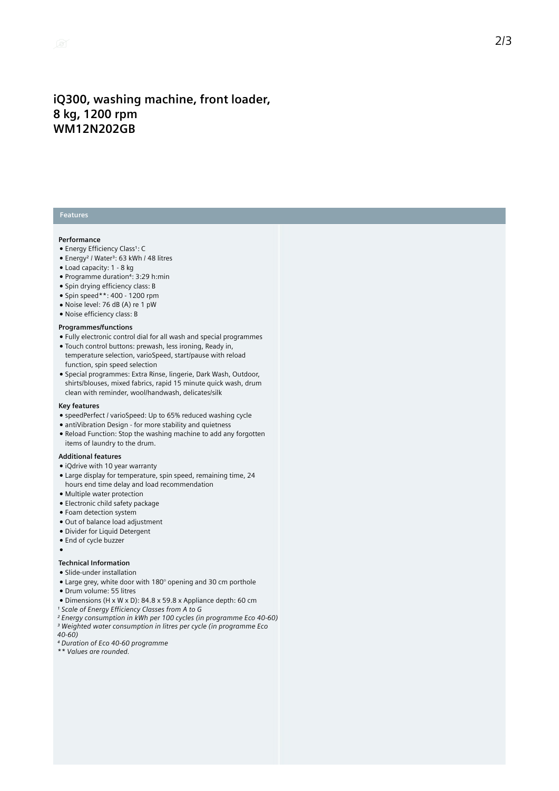## iQ300, washing machine, front loader, **8 k g , 1 2 0 0 r p m WM12N202GB**

## **Features**

#### **Performance**

- Energy Efficiency Class1: C
- Energy<sup>2</sup> / Water<sup>3</sup>: 63 kWh / 48 litres
- Load capacity: 1 8 kg
- Programme duration<sup>4</sup>: 3:29 h:min
- Spin drying efficiency class: B
- Spin speed\*\*: 400 1200 rpm
- Noise level: 76 dB (A) re 1 pW
- Noise efficiency class: B

#### **Programmes/functions**

- Fully electronic control dial for all wash and special programmes
- Touch control buttons: prewash, less ironing, Ready in, temperature selection, varioSpeed, start/pause with reload function, spin speed selection
- Special programmes: Extra Rinse, lingerie, Dark Wash, Outdoor, shirts/blouses, mixed fabrics, rapid 15 minute quick wash, drum clean with reminder, wool/handwash, delicates/silk

#### **K e y f e a t u r e s**

- speedPerfect / varioSpeed: Up to 65% reduced washing cycle
- antiVibration Design for more stability and quietness
- Reload Function: Stop the washing machine to add any forgotten items of laundry to the drum.

#### **Additional features**

- iQdrive with 10 year warranty
- Large display for temperature, spin speed, remaining time, 24 hours end time delay and load recommendation
- Multiple water protection
- Electronic child safety package
- Foam detection system
- Out of balance load adjustment
- · Divider for Liquid Detergent
- End of cycle buzzer
- ●

#### **Technical Information**

- Slide-under installation
- Large grey, white door with 180 $^{\circ}$  opening and 30 cm porthole
- · Drum volume: 55 litres
- Dimensions (H x W x D): 84.8 x 59.8 x Appliance depth: 60 cm
- *¹ Scale of Energy Efficiency Classes from A to G*
- *² Energy consumption in kWh per 100 cycles (in programme Eco 40-60) ³ Weighted water consumption in litres per cycle (in programme Eco 40-60)*
- *⁴ Duration of Eco 40-60 programme*
- *\*\* Values are rounded.*